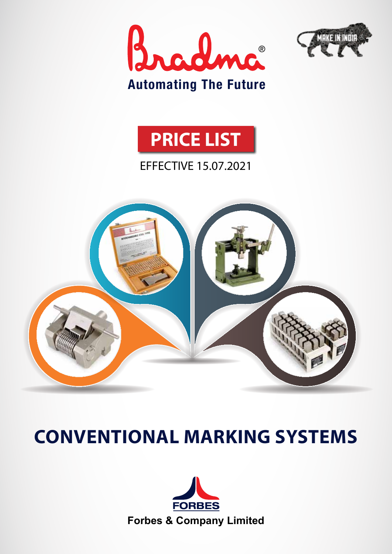





### EFFECTIVE 15.07.2021



# **Conventional Marking Systems**

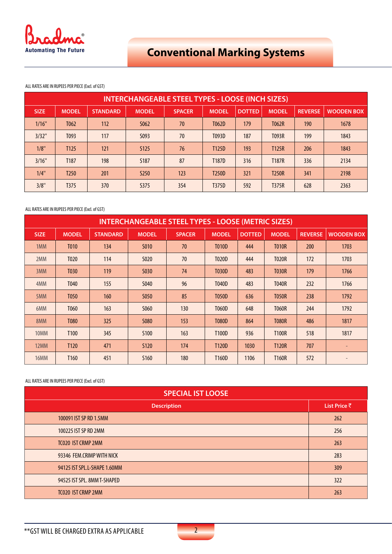

ALL RATES ARE IN RUPEES PER PIECE (Excl. of GST)

| <b>INTERCHANGEABLE STEEL TYPES - LOOSE (INCH SIZES)</b> |                  |                 |                  |               |                    |               |              |                |                   |
|---------------------------------------------------------|------------------|-----------------|------------------|---------------|--------------------|---------------|--------------|----------------|-------------------|
| <b>SIZE</b>                                             | <b>MODEL</b>     | <b>STANDARD</b> | <b>MODEL</b>     | <b>SPACER</b> | <b>MODEL</b>       | <b>DOTTED</b> | <b>MODEL</b> | <b>REVERSE</b> | <b>WOODEN BOX</b> |
| 1/16"                                                   | T <sub>062</sub> | 112             | S <sub>062</sub> | 70            | T062D              | 179           | T062R        | 190            | 1678              |
| 3/32"                                                   | T093             | 117             | S093             | 70            | T093D              | 187           | T093R        | 199            | 1843              |
| 1/8"                                                    | T <sub>125</sub> | 121             | S <sub>125</sub> | 76            | T <sub>125</sub> D | 193           | T125R        | 206            | 1843              |
| 3/16"                                                   | T <sub>187</sub> | 198             | S <sub>187</sub> | 87            | T187D              | 316           | <b>T187R</b> | 336            | 2134              |
| 1/4"                                                    | T <sub>250</sub> | 201             | S <sub>250</sub> | 123           | T <sub>250</sub> D | 321           | <b>T250R</b> | 341            | 2198              |
| 3/8"                                                    | T <sub>375</sub> | 370             | S375             | 354           | T375D              | 592           | <b>T375R</b> | 628            | 2363              |

### ALL RATES ARE IN RUPEES PER PIECE (Excl. of GST)

| <b>INTERCHANGEABLE STEEL TYPES - LOOSE (METRIC SIZES)</b> |                  |                 |                   |               |                    |               |              |                |                   |
|-----------------------------------------------------------|------------------|-----------------|-------------------|---------------|--------------------|---------------|--------------|----------------|-------------------|
| <b>SIZE</b>                                               | <b>MODEL</b>     | <b>STANDARD</b> | <b>MODEL</b>      | <b>SPACER</b> | <b>MODEL</b>       | <b>DOTTED</b> | <b>MODEL</b> | <b>REVERSE</b> | <b>WOODEN BOX</b> |
| 1 <sub>MM</sub>                                           | T010             | 134             | S010              | 70            | <b>T010D</b>       | 444           | <b>T010R</b> | 200            | 1703              |
| 2MM                                                       | T020             | 114             | S <sub>0</sub> 20 | 70            | <b>T020D</b>       | 444           | <b>T020R</b> | 172            | 1703              |
| 3MM                                                       | T030             | 119             | S030              | 74            | <b>T030D</b>       | 483           | <b>T030R</b> | 179            | 1766              |
| 4MM                                                       | T040             | 155             | S040              | 96            | <b>T040D</b>       | 483           | <b>T040R</b> | 232            | 1766              |
| 5MM                                                       | T050             | 160             | S050              | 85            | <b>T050D</b>       | 636           | <b>T050R</b> | 238            | 1792              |
| 6MM                                                       | T <sub>060</sub> | 163             | S060              | 130           | <b>T060D</b>       | 648           | <b>T060R</b> | 244            | 1792              |
| 8MM                                                       | <b>T080</b>      | 325             | <b>S080</b>       | 153           | <b>T080D</b>       | 864           | <b>T080R</b> | 486            | 1817              |
| 10MM                                                      | T <sub>100</sub> | 345             | S <sub>100</sub>  | 163           | T <sub>100</sub> D | 936           | <b>T100R</b> | 518            | 1817              |
| 12MM                                                      | T <sub>120</sub> | 471             | S <sub>120</sub>  | 174           | T120D              | 1030          | <b>T120R</b> | 707            | ٠                 |
| <b>16MM</b>                                               | T <sub>160</sub> | 451             | S <sub>160</sub>  | 180           | T160D              | 1106          | <b>T160R</b> | 572            | $\qquad \qquad =$ |

| <b>SPECIAL IST LOOSE</b>     |              |  |  |
|------------------------------|--------------|--|--|
| <b>Description</b>           | List Price ₹ |  |  |
| 100091 IST SP RD 1.5MM       | 262          |  |  |
| 100225 IST SP RD 2MM         | 256          |  |  |
| <b>TC020 IST CRMP 2MM</b>    | 263          |  |  |
| 93346 FEM.CRIMP WITH NICK    | 283          |  |  |
| 94125 IST SPL.L-SHAPE 1.60MM | 309          |  |  |
| 94525 IST SPL. 8MM T-SHAPED  | 322          |  |  |
| <b>TC020 IST CRMP 2MM</b>    | 263          |  |  |

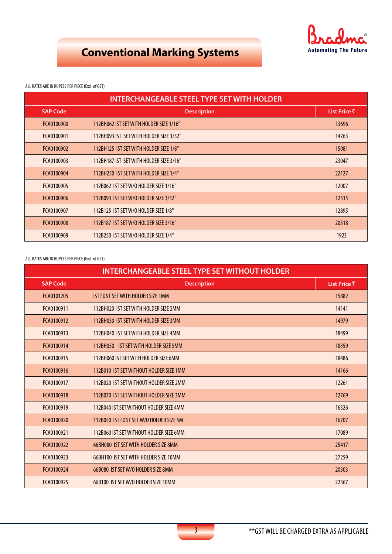

### ALL RATES ARE IN RUPEES PER PIECE (Excl. of GST)

| <b>INTERCHANGEABLE STEEL TYPE SET WITH HOLDER</b> |                                         |       |  |  |  |
|---------------------------------------------------|-----------------------------------------|-------|--|--|--|
| <b>SAP Code</b>                                   | <b>Description</b>                      |       |  |  |  |
| FCA0100900                                        | 112BH062 IST SET WITH HOLDER SIZE 1/16" | 13696 |  |  |  |
| FCA0100901                                        | 112BH093 IST SET WITH HOLDER SIZE 3/32" | 14763 |  |  |  |
| FCA0100902                                        | 112BH125 IST SET WITH HOLDER SIZE 1/8"  | 15081 |  |  |  |
| FCA0100903                                        | 112BH187 IST SET WITH HOLDER SIZE 3/16" | 23047 |  |  |  |
| FCA0100904                                        | 112BH250 IST SET WITH HOLDER SIZE 1/4"  | 22127 |  |  |  |
| FCA0100905                                        | 112B062 IST SET W/O HOLDER SIZE 1/16"   | 12007 |  |  |  |
| FCA0100906                                        | 112B093 IST SET W/O HOLDER SIZE 3/32"   | 12515 |  |  |  |
| FCA0100907                                        | 112B125 IST SET W/O HOLDER SIZE 1/8"    | 12895 |  |  |  |
| FCA0100908                                        | 112B187 IST SET W/O HOLDER SIZE 3/16"   | 20518 |  |  |  |
| FCA0100909                                        | 112B250 IST SET W/O HOLDER SIZE 1/4"    | 1923  |  |  |  |

| <b>INTERCHANGEABLE STEEL TYPE SET WITHOUT HOLDER</b> |                                         |              |  |  |
|------------------------------------------------------|-----------------------------------------|--------------|--|--|
| <b>SAP Code</b>                                      | <b>Description</b>                      | List Price ₹ |  |  |
| FCA0101205                                           | IST FONT SET WITH HOLDER SIZE 1MM       | 15882        |  |  |
| FCA0100911                                           | 112BH020 IST SET WITH HOLDER SIZE 2MM   | 14141        |  |  |
| FCA0100912                                           | 112BH030 IST SET WITH HOLDER SIZE 3MM   | 14979        |  |  |
| FCA0100913                                           | 112BH040 IST SET WITH HOLDER SIZE 4MM   | 18499        |  |  |
| FCA0100914                                           | 112BH050 IST SET WITH HOLDER SIZE 5MM   | 18359        |  |  |
| FCA0100915                                           | 112BH060 IST SET WITH HOLDER SIZE 6MM   | 18486        |  |  |
| FCA0100916                                           | 112B010 IST SET WITHOUT HOLDER SIZE 1MM | 14166        |  |  |
| FCA0100917                                           | 112B020 IST SET WITHOUT HOLDER SIZE 2MM | 12261        |  |  |
| FCA0100918                                           | 112B030 IST SET WITHOUT HOLDER SIZE 3MM | 12769        |  |  |
| FCA0100919                                           | 112B040 IST SET WITHOUT HOLDER SIZE 4MM | 16326        |  |  |
| FCA0100920                                           | 112B050 IST FONT SET W/O HOLDER SIZE 5M | 16707        |  |  |
| FCA0100921                                           | 112B060 IST SET WITHOUT HOLDER SIZE 6MM | 17089        |  |  |
| FCA0100922                                           | 66BH080 IST SET WITH HOLDER SIZE 8MM    | 25417        |  |  |
| FCA0100923                                           | 66BH100 IST SET WITH HOLDER SIZE 10MM   | 27259        |  |  |
| FCA0100924                                           | 66B080 IST SET W/O HOLDER SIZE 8MM      | 20303        |  |  |
| FCA0100925                                           | 66B100 IST SET W/O HOLDER SIZE 10MM     | 22367        |  |  |

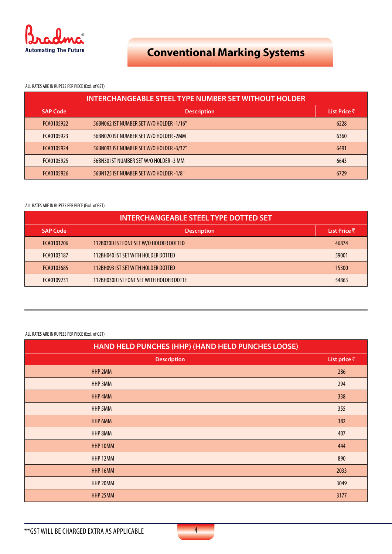

### ALL RATES ARE IN RUPEES PER PIECE (Excl. of GST)

| <b>INTERCHANGEABLE STEEL TYPE NUMBER SET WITHOUT HOLDER</b> |                                          |              |  |  |  |
|-------------------------------------------------------------|------------------------------------------|--------------|--|--|--|
| <b>SAP Code</b>                                             | <b>Description</b>                       | List Price ₹ |  |  |  |
| FCA0105922                                                  | 56BN062 IST NUMBER SET W/O HOLDER -1/16" | 6228         |  |  |  |
| FCA0105923                                                  | 56BN020 IST NUMBER SET W/O HOLDER -2MM   | 6360         |  |  |  |
| FCA0105924                                                  | 56BN093 IST NUMBER SET W/O HOLDER -3/32" | 6491         |  |  |  |
| FCA0105925                                                  | 56BN30 IST NUMBER SET W/O HOLDER -3 MM   | 6643         |  |  |  |
| FCA0105926                                                  | 56BN125 IST NUMBER SET W/O HOLDER -1/8"  | 6729         |  |  |  |

### ALL RATES ARE IN RUPEES PER PIECE (Excl. of GST)

| <b>INTERCHANGEABLE STEEL TYPE DOTTED SET</b> |                                          |              |  |  |  |
|----------------------------------------------|------------------------------------------|--------------|--|--|--|
| <b>SAP Code</b>                              | <b>Description</b>                       | List Price ₹ |  |  |  |
| FCA0101206                                   | 112B030D IST FONT SET W/O HOLDER DOTTED  | 46874        |  |  |  |
| FCA0103187                                   | 112BH040 IST SET WITH HOLDER DOTTED      | 59001        |  |  |  |
| FCA0103685                                   | 112BH093 IST SET WITH HOLDER DOTTED      | 15300        |  |  |  |
| FCA0109231                                   | 112BH030D IST FONT SET WITH HOLDER DOTTE | 54863        |  |  |  |

| HAND HELD PUNCHES (HHP) (HAND HELD PUNCHES LOOSE) |                      |  |  |
|---------------------------------------------------|----------------------|--|--|
| <b>Description</b>                                | List price $\bar{z}$ |  |  |
| HHP 2MM                                           | 286                  |  |  |
| HHP 3MM                                           | 294                  |  |  |
| HHP 4MM                                           | 338                  |  |  |
| HHP 5MM                                           | 355                  |  |  |
| HHP 6MM                                           | 382                  |  |  |
| HHP 8MM                                           | 407                  |  |  |
| HHP 10MM                                          | 444                  |  |  |
| HHP 12MM                                          | 890                  |  |  |
| HHP 16MM                                          | 2033                 |  |  |
| HHP 20MM                                          | 3049                 |  |  |
| HHP 25MM                                          | 3177                 |  |  |

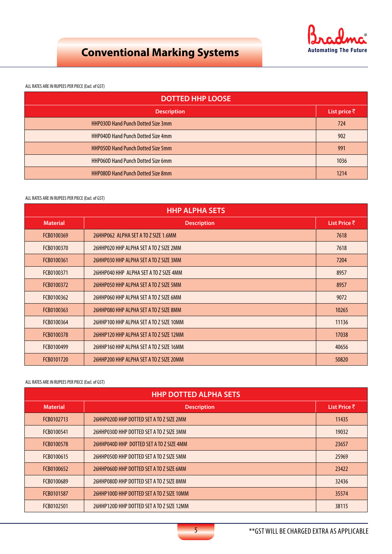

ALL RATES ARE IN RUPEES PER PIECE (Excl. of GST)

| <b>DOTTED HHP LOOSE</b>                   |                      |  |  |
|-------------------------------------------|----------------------|--|--|
| <b>Description</b>                        | List price $\bar{z}$ |  |  |
| <b>HHP030D Hand Punch Dotted Size 3mm</b> | 724                  |  |  |
| <b>HHP040D Hand Punch Dotted Size 4mm</b> | 902                  |  |  |
| <b>HHP050D Hand Punch Dotted Size 5mm</b> | 991                  |  |  |
| <b>HHP060D Hand Punch Dotted Size 6mm</b> | 1036                 |  |  |
| <b>HHP080D Hand Punch Dotted Size 8mm</b> | 1214                 |  |  |

### ALL RATES ARE IN RUPEES PER PIECE (Excl. of GST)

| <b>HHP ALPHA SETS</b> |                                         |       |  |  |  |
|-----------------------|-----------------------------------------|-------|--|--|--|
| <b>Material</b>       | <b>Description</b>                      |       |  |  |  |
| FCB0100369            | 26HHP062 ALPHA SET A TO Z SIZE 1.6MM    | 7618  |  |  |  |
| FCB0100370            | 26HHP020 HHP ALPHA SET A TO Z SIZE 2MM  | 7618  |  |  |  |
| FCB0100361            | 26HHP030 HHP ALPHA SET A TO Z SIZE 3MM  | 7204  |  |  |  |
| FCB0100371            | 26HHP040 HHP ALPHA SET A TO Z SIZE 4MM  | 8957  |  |  |  |
| FCB0100372            | 26HHP050 HHP ALPHA SET A TO Z SIZE 5MM  | 8957  |  |  |  |
| FCB0100362            | 26HHP060 HHP ALPHA SET A TO Z SIZE 6MM  | 9072  |  |  |  |
| FCB0100363            | 26HHP080 HHP ALPHA SET A TO Z SIZE 8MM  | 10265 |  |  |  |
| FCB0100364            | 26HHP100 HHP ALPHA SET A TO Z SIZE 10MM | 11136 |  |  |  |
| FCB0100378            | 26HHP120 HHP ALPHA SET A TO Z SIZE 12MM | 17038 |  |  |  |
| FCB0100499            | 26HHP160 HHP ALPHA SET A TO Z SIZE 16MM | 40656 |  |  |  |
| FCB0101720            | 26HHP200 HHP ALPHA SET A TO Z SIZE 20MM | 50820 |  |  |  |

| <b>HHP DOTTED ALPHA SETS</b> |                                           |       |  |  |  |
|------------------------------|-------------------------------------------|-------|--|--|--|
| <b>Material</b>              | <b>Description</b>                        |       |  |  |  |
| FCB0102713                   | 26HHP020D HHP DOTTED SET A TO Z SIZE 2MM  | 11435 |  |  |  |
| FCB0100541                   | 26HHP030D HHP DOTTED SET A TO Z SIZE 3MM  | 19032 |  |  |  |
| FCB0100578                   | 26HHP040D HHP DOTTED SET A TO Z SIZE 4MM  | 23657 |  |  |  |
| FCB0100615                   | 26HHP050D HHP DOTTED SET A TO Z SIZE 5MM  | 25969 |  |  |  |
| FCB0100652                   | 26HHP060D HHP DOTTED SET A TO Z SIZE 6MM  | 23422 |  |  |  |
| FCB0100689                   | 26HHP080D HHP DOTTED SET A TO Z SIZE 8MM  | 32436 |  |  |  |
| FCB0101587                   | 26HHP100D HHP DOTTED SET A TO Z SIZE 10MM | 35574 |  |  |  |
| FCB0102501                   | 26HHP120D HHP DOTTED SET A TO Z SIZE 12MM | 38115 |  |  |  |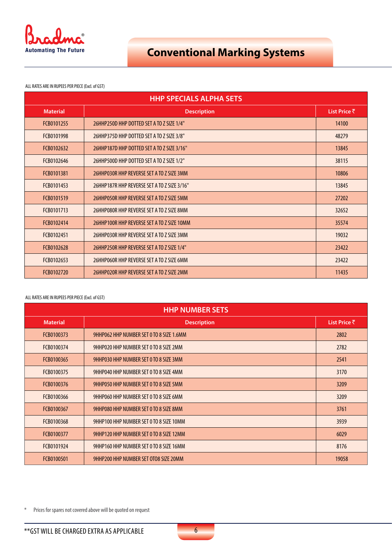

ALL RATES ARE IN RUPEES PER PIECE (Excl. of GST)

| <b>HHP SPECIALS ALPHA SETS</b> |                                             |              |  |  |
|--------------------------------|---------------------------------------------|--------------|--|--|
| <b>Material</b>                | <b>Description</b>                          | List Price ₹ |  |  |
| FCB0101255                     | 26HHP250D HHP DOTTED SET A TO Z SIZE 1/4"   | 14100        |  |  |
| FCB0101998                     | 26HHP375D HHP DOTTED SET A TO Z SIZE 3/8"   | 48279        |  |  |
| FCB0102632                     | 26HHP187D HHP DOTTED SET A TO Z SIZE 3/16"  | 13845        |  |  |
| FCB0102646                     | 26HHP500D HHP DOTTED SET A TO Z SIZE 1/2"   | 38115        |  |  |
| FCB0101381                     | 26HHP030R HHP REVERSE SET A TO Z SIZE 3MM   | 10806        |  |  |
| FCB0101453                     | 26HHP187R HHP REVERSE SET A TO Z SIZE 3/16" | 13845        |  |  |
| FCB0101519                     | 26HHP050R HHP REVERSE SET A TO Z SIZE 5MM   | 27202        |  |  |
| FCB0101713                     | 26HHP080R HHP REVERSE SET A TO Z SIZE 8MM   | 32652        |  |  |
| FCB0102414                     | 26HHP100R HHP REVERSE SET A TO Z SIZE 10MM  | 35574        |  |  |
| FCB0102451                     | 26HHP030R HHP REVERSE SET A TO Z SIZE 3MM   | 19032        |  |  |
| FCB0102628                     | 26HHP250R HHP REVERSE SET A TO Z SIZE 1/4"  | 23422        |  |  |
| FCB0102653                     | 26HHP060R HHP REVERSE SET A TO Z SIZE 6MM   | 23422        |  |  |
| FCB0102720                     | 26HHP020R HHP REVERSE SET A TO Z SIZE 2MM   | 11435        |  |  |

### ALL RATES ARE IN RUPEES PER PIECE (Excl. of GST)

| <b>HHP NUMBER SETS</b> |                                          |              |
|------------------------|------------------------------------------|--------------|
| <b>Material</b>        | <b>Description</b>                       | List Price ₹ |
| FCB0100373             | 9HHP062 HHP NUMBER SET 0 TO 8 SIZE 1.6MM | 2802         |
| FCB0100374             | 9HHP020 HHP NUMBER SET 0 TO 8 SIZE 2MM   | 2782         |
| FCB0100365             | 9HHP030 HHP NUMBER SET 0 TO 8 SIZE 3MM   | 2541         |
| FCB0100375             | 9HHP040 HHP NUMBER SET 0 TO 8 SIZE 4MM   | 3170         |
| FCB0100376             | 9HHP050 HHP NUMBER SET 0 TO 8 SIZE 5MM   | 3209         |
| FCB0100366             | 9HHP060 HHP NUMBER SET 0 TO 8 SIZE 6MM   | 3209         |
| FCB0100367             | 9HHP080 HHP NUMBER SET 0 TO 8 SIZE 8MM   | 3761         |
| FCB0100368             | 9HHP100 HHP NUMBER SET 0 TO 8 SIZE 10MM  | 3939         |
| FCB0100377             | 9HHP120 HHP NUMBER SET 0 TO 8 SIZE 12MM  | 6029         |
| FCB0101924             | 9HHP160 HHP NUMBER SET 0 TO 8 SIZE 16MM  | 8176         |
| FCB0100501             | 9HHP200 HHP NUMBER SET OTO8 SIZE 20MM    | 19058        |

\* Prices for spares not covered above will be quoted on request

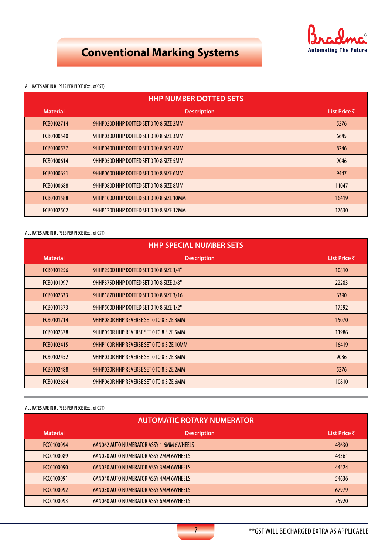

### ALL RATES ARE IN RUPEES PER PIECE (Excl. of GST)

| <b>HHP NUMBER DOTTED SETS</b> |                                          |              |
|-------------------------------|------------------------------------------|--------------|
| <b>Material</b>               | <b>Description</b>                       | List Price ₹ |
| FCB0102714                    | 9HHP020D HHP DOTTED SET 0 TO 8 SIZE 2MM  | 5276         |
| FCB0100540                    | 9HHP030D HHP DOTTED SET 0 TO 8 SIZE 3MM  | 6645         |
| FCB0100577                    | 9HHP040D HHP DOTTED SET 0 TO 8 SIZE 4MM  | 8246         |
| FCB0100614                    | 9HHP050D HHP DOTTED SET 0 TO 8 SIZE 5MM  | 9046         |
| FCB0100651                    | 9HHP060D HHP DOTTED SET 0 TO 8 SIZE 6MM  | 9447         |
| FCB0100688                    | 9HHP080D HHP DOTTED SET 0 TO 8 SIZE 8MM  | 11047        |
| FCB0101588                    | 9HHP100D HHP DOTTED SET 0 TO 8 SIZE 10MM | 16419        |
| FCB0102502                    | 9HHP120D HHP DOTTED SET 0 TO 8 SIZE 12MM | 17630        |

### ALL RATES ARE IN RUPEES PER PIECE (Excl. of GST)

| <b>HHP SPECIAL NUMBER SETS</b> |                                           |              |
|--------------------------------|-------------------------------------------|--------------|
| <b>Material</b>                | <b>Description</b>                        | List Price ₹ |
| FCB0101256                     | 9HHP250D HHP DOTTED SET 0 TO 8 SIZE 1/4"  | 10810        |
| FCB0101997                     | 9HHP375D HHP DOTTED SET 0 TO 8 SIZE 3/8"  | 22283        |
| FCB0102633                     | 9HHP187D HHP DOTTED SET 0 TO 8 SIZE 3/16" | 6390         |
| FCB0101373                     | 9HHP500D HHP DOTTED SET 0 TO 8 SIZE 1/2"  | 17592        |
| FCB0101714                     | 9HHP080R HHP REVERSE SET 0 TO 8 SIZE 8MM  | 15070        |
| FCB0102378                     | 9HHP050R HHP REVERSE SET 0 TO 8 SIZE 5MM  | 11986        |
| FCB0102415                     | 9HHP100R HHP REVERSE SET 0 TO 8 SIZE 10MM | 16419        |
| FCB0102452                     | 9HHP030R HHP REVERSE SET 0 TO 8 SIZE 3MM  | 9086         |
| FCB0102488                     | 9HHP020R HHP REVERSE SET 0 TO 8 SIZE 2MM  | 5276         |
| FCB0102654                     | 9HHP060R HHP REVERSE SET 0 TO 8 SIZE 6MM  | 10810        |

| <b>AUTOMATIC ROTARY NUMERATOR</b> |                                                 |              |
|-----------------------------------|-------------------------------------------------|--------------|
| <b>Material</b>                   | <b>Description</b>                              | List Price ₹ |
| FCC0100094                        | <b>6AN062 AUTO NUMERATOR ASSY 1.6MM 6WHEELS</b> | 43630        |
| FCC0100089                        | <b>6AN020 AUTO NUMERATOR ASSY 2MM 6WHEELS</b>   | 43361        |
| FCC0100090                        | <b>6AN030 AUTO NUMERATOR ASSY 3MM 6WHEELS</b>   | 44424        |
| FCC0100091                        | <b>6AN040 AUTO NUMERATOR ASSY 4MM 6WHEELS</b>   | 54636        |
| FCC0100092                        | <b>6AN050 AUTO NUMERATOR ASSY 5MM 6WHEELS</b>   | 67979        |
| FCC0100093                        | <b>6AN060 AUTO NUMERATOR ASSY 6MM 6WHEELS</b>   | 75920        |

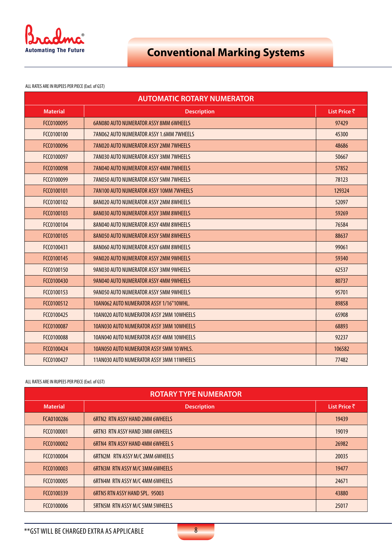

ALL RATES ARE IN RUPEES PER PIECE (Excl. of GST)

| <b>AUTOMATIC ROTARY NUMERATOR</b> |                                                |              |
|-----------------------------------|------------------------------------------------|--------------|
| <b>Material</b>                   | <b>Description</b>                             | List Price ₹ |
| FCC0100095                        | <b>6AN080 AUTO NUMERATOR ASSY 8MM 6WHEELS</b>  | 97429        |
| FCC0100100                        | 7AN062 AUTO NUMERATOR ASSY 1.6MM 7WHEELS       | 45300        |
| FCC0100096                        | <b>7AN020 AUTO NUMERATOR ASSY 2MM 7WHEELS</b>  | 48686        |
| FCC0100097                        | 7AN030 AUTO NUMERATOR ASSY 3MM 7WHEELS         | 50667        |
| FCC0100098                        | <b>7AN040 AUTO NUMERATOR ASSY 4MM 7WHEELS</b>  | 57852        |
| FCC0100099                        | <b>7AN050 AUTO NUMERATOR ASSY 5MM 7WHEELS</b>  | 78123        |
| FCC0100101                        | <b>7AN100 AUTO NUMERATOR ASSY 10MM 7WHEELS</b> | 129324       |
| FCC0100102                        | 8AN020 AUTO NUMERATOR ASSY 2MM 8WHEELS         | 52097        |
| FCC0100103                        | 8AN030 AUTO NUMERATOR ASSY 3MM 8WHEELS         | 59269        |
| FCC0100104                        | 8AN040 AUTO NUMERATOR ASSY 4MM 8WHEELS         | 76584        |
| FCC0100105                        | 8AN050 AUTO NUMERATOR ASSY 5MM 8WHEELS         | 88637        |
| FCC0100431                        | 8AN060 AUTO NUMERATOR ASSY 6MM 8WHEELS         | 99061        |
| FCC0100145                        | 9AN020 AUTO NUMERATOR ASSY 2MM 9WHEELS         | 59340        |
| FCC0100150                        | 9AN030 AUTO NUMERATOR ASSY 3MM 9WHEELS         | 62537        |
| FCC0100430                        | 9AN040 AUTO NUMERATOR ASSY 4MM 9WHEELS         | 80737        |
| FCC0100153                        | 9AN050 AUTO NUMERATOR ASSY 5MM 9WHEELS         | 95701        |
| FCC0100512                        | 10AN062 AUTO NUMERATOR ASSY 1/16"10WHL.        | 89858        |
| FCC0100425                        | 10AN020 AUTO NUMERATOR ASSY 2MM 10WHEELS       | 65908        |
| FCC0100087                        | 10AN030 AUTO NUMERATOR ASSY 3MM 10WHEELS       | 68893        |
| FCC0100088                        | 10AN040 AUTO NUMERATOR ASSY 4MM 10WHEELS       | 92237        |
| FCC0100424                        | 10AN050 AUTO NUMERATOR ASSY 5MM 10 WHLS.       | 106582       |
| FCC0100427                        | 11AN030 AUTO NUMERATOR ASSY 3MM 11WHEELS       | 77482        |

| <b>ROTARY TYPE NUMERATOR</b> |                                         |              |
|------------------------------|-----------------------------------------|--------------|
| <b>Material</b>              | <b>Description</b>                      | List Price ₹ |
| FCA0100286                   | <b>6RTN2 RTN ASSY HAND 2MM 6WHEELS</b>  | 19439        |
| FCC0100001                   | <b>6RTN3 RTN ASSY HAND 3MM 6WHEELS</b>  | 19019        |
| FCC0100002                   | <b>6RTN4 RTN ASSY HAND 4MM 6WHEEL S</b> | 26982        |
| FCC0100004                   | <b>6RTN2M RTN ASSY M/C 2MM 6WHEELS</b>  | 20035        |
| FCC0100003                   | <b>6RTN3M RTN ASSY M/C 3MM 6WHEELS</b>  | 19477        |
| FCC0100005                   | <b>6RTN4M RTN ASSY M/C 4MM 6WHEELS</b>  | 24671        |
| FCC0100339                   | <b>6RTN5 RTN ASSY HAND SPL. 95003</b>   | 43880        |
| FCC0100006                   | <b>5RTN5M RTN ASSY M/C 5MM 5WHEELS</b>  | 25017        |

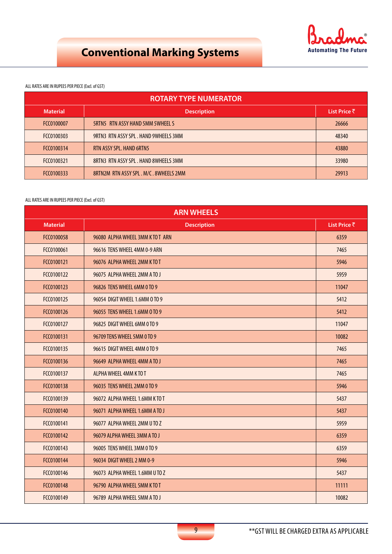

### ALL RATES ARE IN RUPEES PER PIECE (Excl. of GST)

| <b>ROTARY TYPE NUMERATOR</b> |                                         |              |
|------------------------------|-----------------------------------------|--------------|
| <b>Material</b>              | <b>Description</b>                      | List Price ₹ |
| FCC0100007                   | <b>SRTN5 RTN ASSY HAND 5MM 5WHEEL S</b> | 26666        |
| FCC0100303                   | 9RTN3 RTN ASSY SPL . HAND 9WHEELS 3MM   | 48340        |
| FCC0100314                   | RTN ASSY SPL. HAND 6RTN5                | 43880        |
| FCC0100321                   | 8RTN3 RTN ASSY SPL. HAND 8WHEELS 3MM    | 33980        |
| FCC0100333                   | 8RTN2M RTN ASSY SPL . M/C . 8WHEELS 2MM | 29913        |

| <b>ARN WHEELS</b> |                                  |              |
|-------------------|----------------------------------|--------------|
| <b>Material</b>   | <b>Description</b>               | List Price ₹ |
| FCC0100058        | 96080 ALPHA WHEEL 3MM K TO T ARN | 6359         |
| FCC0100061        | 96616 TENS WHEEL 4MM 0-9 ARN     | 7465         |
| FCC0100121        | 96076 ALPHA WHEEL 2MM K TO T     | 5946         |
| FCC0100122        | 96075 ALPHA WHEEL 2MM A TO J     | 5959         |
| FCC0100123        | 96826 TENS WHEEL 6MM 0 TO 9      | 11047        |
| FCC0100125        | 96054 DIGIT WHEEL 1.6MM O TO 9   | 5412         |
| FCC0100126        | 96055 TENS WHEEL 1.6MM O TO 9    | 5412         |
| FCC0100127        | 96825 DIGIT WHEEL 6MM 0 TO 9     | 11047        |
| FCC0100131        | 96709 TENS WHEEL 5MM 0 TO 9      | 10082        |
| FCC0100135        | 96615 DIGIT WHEEL 4MM 0 TO 9     | 7465         |
| FCC0100136        | 96649 ALPHA WHEEL 4MM A TO J     | 7465         |
| FCC0100137        | ALPHA WHEEL 4MM K TO T           | 7465         |
| FCC0100138        | 96035 TENS WHEEL 2MM 0 TO 9      | 5946         |
| FCC0100139        | 96072 ALPHA WHEEL 1.6MM K TO T   | 5437         |
| FCC0100140        | 96071 ALPHA WHEEL 1.6MM A TO J   | 5437         |
| FCC0100141        | 96077 ALPHA WHEEL 2MM U TO Z     | 5959         |
| FCC0100142        | 96079 ALPHA WHEEL 3MM A TO J     | 6359         |
| FCC0100143        | 96005 TENS WHEEL 3MM 0 TO 9      | 6359         |
| FCC0100144        | 96034 DIGIT WHEEL 2 MM 0-9       | 5946         |
| FCC0100146        | 96073 ALPHA WHEEL 1.6MM U TO Z   | 5437         |
| FCC0100148        | 96790 ALPHA WHEEL 5MM K TO T     | 11111        |
| FCC0100149        | 96789 ALPHA WHEEL 5MM A TO J     | 10082        |

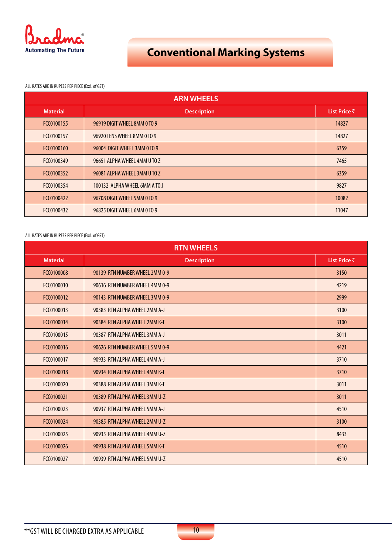

ALL RATES ARE IN RUPEES PER PIECE (Excl. of GST)

| <b>ARN WHEELS</b> |                               |              |
|-------------------|-------------------------------|--------------|
| <b>Material</b>   | <b>Description</b>            | List Price ₹ |
| FCC0100155        | 96919 DIGIT WHEEL 8MM 0 TO 9  | 14827        |
| FCC0100157        | 96920 TENS WHEEL 8MM 0 TO 9   | 14827        |
| FCC0100160        | 96004 DIGIT WHEEL 3MM 0 TO 9  | 6359         |
| FCC0100349        | 96651 ALPHA WHEEL 4MM U TO Z  | 7465         |
| FCC0100352        | 96081 ALPHA WHEEL 3MM U TO Z  | 6359         |
| FCC0100354        | 100132 ALPHA WHEEL 6MM A TO J | 9827         |
| FCC0100422        | 96708 DIGIT WHEEL 5MM 0 TO 9  | 10082        |
| FCC0100432        | 96825 DIGIT WHEEL 6MM 0 TO 9  | 11047        |

| <b>RTN WHEELS</b> |                                |              |
|-------------------|--------------------------------|--------------|
| <b>Material</b>   | <b>Description</b>             | List Price ₹ |
| FCC0100008        | 90139 RTN NUMBER WHEEL 2MM 0-9 | 3150         |
| FCC0100010        | 90616 RTN NUMBER WHEEL 4MM 0-9 | 4219         |
| FCC0100012        | 90143 RTN NUMBER WHEEL 3MM 0-9 | 2999         |
| FCC0100013        | 90383 RTN ALPHA WHEEL 2MM A-J  | 3100         |
| FCC0100014        | 90384 RTN ALPHA WHEEL 2MM K-T  | 3100         |
| FCC0100015        | 90387 RTN ALPHA WHEEL 3MM A-J  | 3011         |
| FCC0100016        | 90626 RTN NUMBER WHEEL 5MM 0-9 | 4421         |
| FCC0100017        | 90933 RTN ALPHA WHEEL 4MM A-J  | 3710         |
| FCC0100018        | 90934 RTN ALPHA WHEEL 4MM K-T  | 3710         |
| FCC0100020        | 90388 RTN ALPHA WHEEL 3MM K-T  | 3011         |
| FCC0100021        | 90389 RTN ALPHA WHEEL 3MM U-Z  | 3011         |
| FCC0100023        | 90937 RTN ALPHA WHEEL 5MM A-J  | 4510         |
| FCC0100024        | 90385 RTN ALPHA WHEEL 2MM U-Z  | 3100         |
| FCC0100025        | 90935 RTN ALPHA WHEEL 4MM U-Z  | 8433         |
| FCC0100026        | 90938 RTN ALPHA WHEEL 5MM K-T  | 4510         |
| FCC0100027        | 90939 RTN ALPHA WHEEL 5MM U-Z  | 4510         |

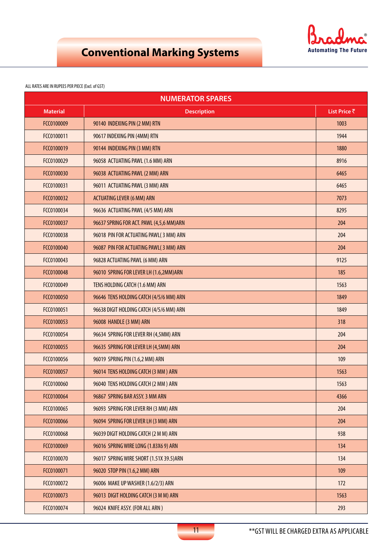

| <b>NUMERATOR SPARES</b> |                                          |              |
|-------------------------|------------------------------------------|--------------|
| <b>Material</b>         | <b>Description</b>                       | List Price ₹ |
| FCC0100009              | 90140 INDEXING PIN (2 MM) RTN            | 1003         |
| FCC0100011              | 90617 INDEXING PIN (4MM) RTN             | 1944         |
| FCC0100019              | 90144 INDEXING PIN (3 MM) RTN            | 1880         |
| FCC0100029              | 96058 ACTUATING PAWL (1.6 MM) ARN        | 8916         |
| FCC0100030              | 96038 ACTUATING PAWL (2 MM) ARN          | 6465         |
| FCC0100031              | 96011 ACTUATING PAWL (3 MM) ARN          | 6465         |
| FCC0100032              | <b>ACTUATING LEVER (6 MM) ARN</b>        | 7073         |
| FCC0100034              | 96636 ACTUATING PAWL (4/5 MM) ARN        | 8295         |
| FCC0100037              | 96637 SPRING FOR ACT. PAWL (4,5,6 MM)ARN | 204          |
| FCC0100038              | 96018 PIN FOR ACTUATING PAWL(3 MM) ARN   | 204          |
| FCC0100040              | 96087 PIN FOR ACTUATING PAWL(3 MM) ARN   | 204          |
| FCC0100043              | 96828 ACTUATING PAWL (6 MM) ARN          | 9125         |
| FCC0100048              | 96010 SPRING FOR LEVER LH (1.6,2MM)ARN   | 185          |
| FCC0100049              | TENS HOLDING CATCH (1.6 MM) ARN          | 1563         |
| FCC0100050              | 96646 TENS HOLDING CATCH (4/5/6 MM) ARN  | 1849         |
| FCC0100051              | 96638 DIGIT HOLDING CATCH (4/5/6 MM) ARN | 1849         |
| FCC0100053              | 96008 HANDLE (3 MM) ARN                  | 318          |
| FCC0100054              | 96634 SPRING FOR LEVER RH (4,5MM) ARN    | 204          |
| FCC0100055              | 96635 SPRING FOR LEVER LH (4,5MM) ARN    | 204          |
| FCC0100056              | 96019 SPRING PIN (1.6,2 MM) ARN          | 109          |
| FCC0100057              | 96014 TENS HOLDING CATCH (3 MM) ARN      | 1563         |
| FCC0100060              | 96040 TENS HOLDING CATCH (2 MM) ARN      | 1563         |
| FCC0100064              | 96867 SPRING BAR ASSY. 3 MM ARN          | 4366         |
| FCC0100065              | 96093 SPRING FOR LEVER RH (3 MM) ARN     | 204          |
| FCC0100066              | 96094 SPRING FOR LEVER LH (3 MM) ARN     | 204          |
| FCC0100068              | 96039 DIGIT HOLDING CATCH (2 M M) ARN    | 938          |
| FCC0100069              | 96016 SPRING WIRE LONG (1.83X6 9) ARN    | 134          |
| FCC0100070              | 96017 SPRING WIRE SHORT (1.51X 39.5) ARN | 134          |
| FCC0100071              | 96020 STOP PIN (1.6,2 MM) ARN            | 109          |
| FCC0100072              | 96006 MAKE UP WASHER (1.6/2/3) ARN       | 172          |
| FCC0100073              | 96013 DIGIT HOLDING CATCH (3 M M) ARN    | 1563         |
| FCC0100074              | 96024 KNIFE ASSY. (FOR ALL ARN)          | 293          |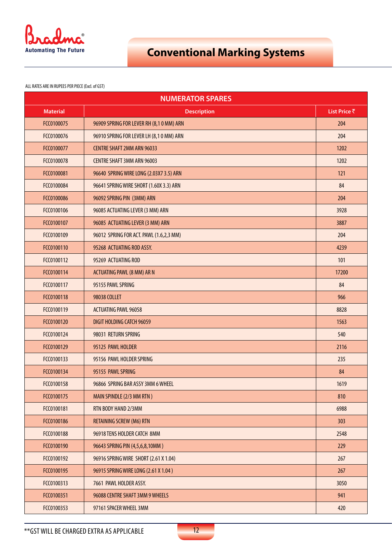

| <b>NUMERATOR SPARES</b> |                                         |              |
|-------------------------|-----------------------------------------|--------------|
| <b>Material</b>         | <b>Description</b>                      | List Price ₹ |
| FCC0100075              | 96909 SPRING FOR LEVER RH (8,10 MM) ARN | 204          |
| FCC0100076              | 96910 SPRING FOR LEVER LH (8,10 MM) ARN | 204          |
| FCC0100077              | <b>CENTRE SHAFT 2MM ARN 96033</b>       | 1202         |
| FCC0100078              | <b>CENTRE SHAFT 3MM ARN 96003</b>       | 1202         |
| FCC0100081              | 96640 SPRING WIRE LONG (2.03X7 3.5) ARN | 121          |
| FCC0100084              | 96641 SPRING WIRE SHORT (1.60X 3.3) ARN | 84           |
| FCC0100086              | 96092 SPRING PIN (3MM) ARN              | 204          |
| FCC0100106              | 96085 ACTUATING LEVER (3 MM) ARN        | 3928         |
| FCC0100107              | 96085 ACTUATING LEVER (3 MM) ARN        | 3887         |
| FCC0100109              | 96012 SPRING FOR ACT. PAWL (1.6,2,3 MM) | 204          |
| FCC0100110              | 95268 ACTUATING ROD ASSY.               | 4239         |
| FCC0100112              | 95269 ACTUATING ROD                     | 101          |
| FCC0100114              | <b>ACTUATING PAWL (8 MM) AR N</b>       | 17200        |
| FCC0100117              | 95155 PAWL SPRING                       | 84           |
| FCC0100118              | 98038 COLLET                            | 966          |
| FCC0100119              | <b>ACTUATING PAWL 96058</b>             | 8828         |
| FCC0100120              | DIGIT HOLDING CATCH 96059               | 1563         |
| FCC0100124              | 98031 RETURN SPRING                     | 540          |
| FCC0100129              | 95125 PAWL HOLDER                       | 2116         |
| FCC0100133              | 95156 PAWL HOLDER SPRING                | 235          |
| FCC0100134              | 95155 PAWL SPRING                       | 84           |
| FCC0100158              | 96866 SPRING BAR ASSY 3MM 6 WHEEL       | 1619         |
| FCC0100175              | MAIN SPINDLE (2/3 MM RTN)               | 810          |
| FCC0100181              | RTN BODY HAND 2/3MM                     | 6988         |
| FCC0100186              | <b>RETAINING SCREW (M6) RTN</b>         | 303          |
| FCC0100188              | 96918 TENS HOLDER CATCH 8MM             | 2548         |
| FCC0100190              | 96643 SPRING PIN (4,5,6,8,10MM)         | 229          |
| FCC0100192              | 96916 SPRING WIRE SHORT (2.61 X 1.04)   | 267          |
| FCC0100195              | 96915 SPRING WIRE LONG (2.61 X 1.04)    | 267          |
| FCC0100313              | 7661 PAWL HOLDER ASSY.                  | 3050         |
| FCC0100351              | 96088 CENTRE SHAFT 3MM 9 WHEELS         | 941          |
| FCC0100353              | 97161 SPACER WHEEL 3MM                  | 420          |

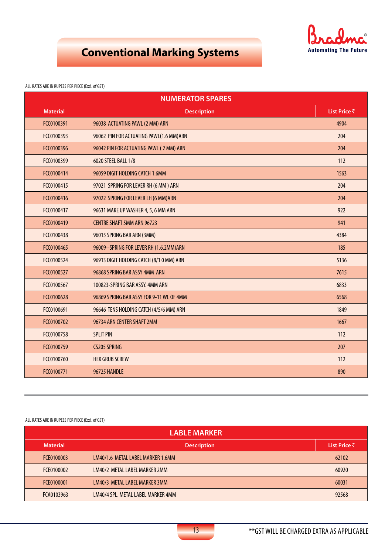

#### ALL RATES ARE IN RUPEES PER PIECE (Excl. of GST)

| <b>NUMERATOR SPARES</b> |                                          |              |
|-------------------------|------------------------------------------|--------------|
| <b>Material</b>         | <b>Description</b>                       | List Price ₹ |
| FCC0100391              | 96038 ACTUATING PAWL (2 MM) ARN          | 4904         |
| FCC0100393              | 96062 PIN FOR ACTUATING PAWL(1.6 MM)ARN  | 204          |
| FCC0100396              | 96042 PIN FOR ACTUATING PAWL (2 MM) ARN  | 204          |
| FCC0100399              | 6020 STEEL BALL 1/8                      | 112          |
| FCC0100414              | 96059 DIGIT HOLDING CATCH 1.6MM          | 1563         |
| FCC0100415              | 97021 SPRING FOR LEVER RH (6 MM) ARN     | 204          |
| FCC0100416              | 97022 SPRING FOR LEVER LH (6 MM) ARN     | 204          |
| FCC0100417              | 96631 MAKE UP WASHER 4, 5, 6 MM ARN      | 922          |
| FCC0100419              | <b>CENTRE SHAFT 5MM ARN 96723</b>        | 941          |
| FCC0100438              | 96015 SPRING BAR ARN (3MM)               | 4384         |
| FCC0100465              | 96009--SPRING FOR LEVER RH (1.6,2MM)ARN  | 185          |
| FCC0100524              | 96913 DIGIT HOLDING CATCH (8/1 0 MM) ARN | 5136         |
| FCC0100527              | 96868 SPRING BAR ASSY 4MM ARN            | 7615         |
| FCC0100567              | 100823-SPRING BAR ASSY. 4MM ARN          | 6833         |
| FCC0100628              | 96869 SPRING BAR ASSY FOR 9-11 WL OF 4MM | 6568         |
| FCC0100691              | 96646 TENS HOLDING CATCH (4/5/6 MM) ARN  | 1849         |
| FCC0100702              | 96734 ARN CENTER SHAFT 2MM               | 1667         |
| FCC0100758              | <b>SPLIT PIN</b>                         | 112          |
| FCC0100759              | <b>CS205 SPRING</b>                      | 207          |
| FCC0100760              | <b>HEX GRUB SCREW</b>                    | 112          |
| FCC0100771              | 96725 HANDLE                             | 890          |

| <b>LABLE MARKER</b> |                                    |              |
|---------------------|------------------------------------|--------------|
| <b>Material</b>     | <b>Description</b>                 | List Price ₹ |
| FCE0100003          | LM40/1.6 METAL LABEL MARKER 1.6MM  | 62102        |
| FCE0100002          | LM40/2 METAL LABEL MARKER 2MM      | 60920        |
| FCE0100001          | LM40/3 METAL LABEL MARKER 3MM      | 60031        |
| FCA0103963          | LM40/4 SPL. METAL LABEL MARKER 4MM | 92568        |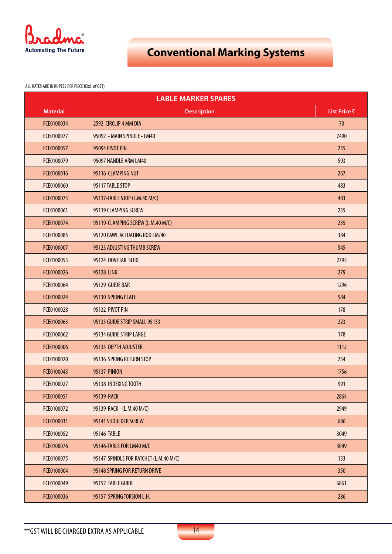

| <b>LABLE MARKER SPARES</b> |                                        |              |
|----------------------------|----------------------------------------|--------------|
| <b>Material</b>            | <b>Description</b>                     | List Price ₹ |
| FCE0100034                 | 2592 CIRCLIP 4 MM DIA                  | 70           |
| FCE0100077                 | 95092 - MAIN SPINDLE - LM40            | 7490         |
| FCE0100057                 | 95094 PIVOT PIN                        | 235          |
| FCE0100079                 | 95097 HANDLE ARM LM40                  | 593          |
| FCE0100016                 | 95116 CLAMPING NUT                     | 267          |
| FCE0100060                 | 95117 TABLE STOP                       | 483          |
| FCE0100073                 | 95117-TABLE STOP (L.M.40 M/C)          | 483          |
| FCE0100061                 | 95119 CLAMPING SCREW                   | 235          |
| FCE0100074                 | 95119-CLAMPING SCREW (L.M.40 M/C)      | 235          |
| FCE0100085                 | 95120 PAWL ACTUATING ROD LM/40         | 384          |
| FCE0100007                 | 95123 ADJUSTING THUMB SCREW            | 545          |
| FCE0100053                 | 95124 DOVETAIL SLIDE                   | 2795         |
| FCE0100026                 | <b>95128 LINK</b>                      | 279          |
| FCE0100064                 | 95129 GUIDE BAR                        | 1296         |
| FCE0100024                 | 95130 SPRING PLATE                     | 584          |
| FCE0100028                 | 95132 PIVOT PIN                        | 178          |
| FCE0100063                 | 95133 GUIDE STRIP SMALL 95133          | 223          |
| FCE0100062                 | 95134 GUIDE STRIP LARGE                | 178          |
| FCE0100006                 | 95135 DEPTH ADJUSTER                   | 1112         |
| FCE0100020                 | 95136 SPRING RETURN STOP               | 254          |
| FCE0100045                 | <b>95137 PINION</b>                    | 1756         |
| FCE0100027                 | 95138 INDEXING TOOTH                   | 991          |
| FCE0100051                 | <b>95139 RACK</b>                      | 2864         |
| FCE0100072                 | 95139-RACK - (L.M.40 M/C)              | 2949         |
| FCE0100031                 | 95141 SHOULDER SCREW                   | 686          |
| FCE0100052                 | 95146 TABLE                            | 3049         |
| FCE0100076                 | 95146-TABLE FOR LM40 M/C               | 3049         |
| FCE0100075                 | 95147-SPINDLE FOR RATCHET (L.M.40 M/C) | 133          |
| FCE0100004                 | 95148 SPRING FOR RETURN DRIVE          | 350          |
| FCE0100049                 | 95152 TABLE GUIDE                      | 6861         |
| FCE0100036                 | 95157 SPRING TORSION L.H.              | 286          |

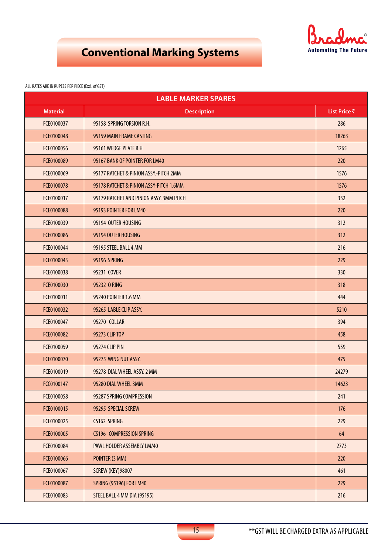

| <b>LABLE MARKER SPARES</b> |                                          |              |
|----------------------------|------------------------------------------|--------------|
| <b>Material</b>            | <b>Description</b>                       | List Price ₹ |
| FCE0100037                 | 95158 SPRING TORSION R.H.                | 286          |
| FCE0100048                 | 95159 MAIN FRAME CASTING                 | 18263        |
| FCE0100056                 | 95161 WEDGE PLATE R.H                    | 1265         |
| FCE0100089                 | 95167 BANK OF POINTER FOR LM40           | 220          |
| FCE0100069                 | 95177 RATCHET & PINION ASSY.-PITCH 2MM   | 1576         |
| FCE0100078                 | 95178 RATCHET & PINION ASSY-PITCH 1.6MM  | 1576         |
| FCE0100017                 | 95179 RATCHET AND PINION ASSY. 3MM PITCH | 352          |
| FCE0100088                 | 95193 POINTER FOR LM40                   | 220          |
| FCE0100039                 | 95194 OUTER HOUSING                      | 312          |
| FCE0100086                 | 95194 OUTER HOUSING                      | 312          |
| FCE0100044                 | 95195 STEEL BALL 4 MM                    | 216          |
| FCE0100043                 | 95196 SPRING                             | 229          |
| FCE0100038                 | 95231 COVER                              | 330          |
| FCE0100030                 | 95232 O RING                             | 318          |
| FCE0100011                 | 95240 POINTER 1.6 MM                     | 444          |
| FCE0100032                 | 95265 LABLE CLIP ASSY.                   | 5210         |
| FCE0100047                 | 95270 COLLAR                             | 394          |
| FCE0100082                 | 95273 CLIP TOP                           | 458          |
| FCE0100059                 | 95274 CLIP PIN                           | 559          |
| FCE0100070                 | 95275 WING NUT ASSY.                     | 475          |
| FCE0100019                 | 95278 DIAL WHEEL ASSY. 2 MM              | 24279        |
| FCC0100147                 | 95280 DIAL WHEEL 3MM                     | 14623        |
| FCE0100058                 | 95287 SPRING COMPRESSION                 | 241          |
| FCE0100015                 | 95295 SPECIAL SCREW                      | 176          |
| FCE0100025                 | CS162 SPRING                             | 229          |
| FCE0100005                 | <b>CS196 COMPRESSION SPRING</b>          | 64           |
| FCE0100084                 | PAWL HOLDER ASSEMBLY LM/40               | 2773         |
| FCE0100066                 | POINTER (3 MM)                           | 220          |
| FCE0100067                 | <b>SCREW (KEY)98007</b>                  | 461          |
| FCE0100087                 | <b>SPRING (95196) FOR LM40</b>           | 229          |
| FCE0100083                 | STEEL BALL 4 MM DIA (95195)              | 216          |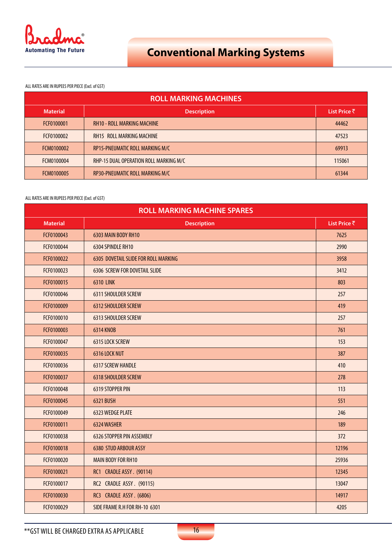

ALL RATES ARE IN RUPEES PER PIECE (Excl. of GST)

| <b>ROLL MARKING MACHINES</b> |                                        |              |
|------------------------------|----------------------------------------|--------------|
| <b>Material</b>              | <b>Description</b>                     | List Price ₹ |
| FCF0100001                   | <b>RH10 - ROLL MARKING MACHINE</b>     | 44462        |
| FCF0100002                   | <b>RH15 ROLL MARKING MACHINE</b>       | 47523        |
| FCM0100002                   | RP15-PNEUMATIC ROLL MARKING M/C        | 69913        |
| FCM0100004                   | RHP-15 DUAL OPERATION ROLL MARKING M/C | 115061       |
| FCM0100005                   | RP30-PNEUMATIC ROLL MARKING M/C        | 61344        |

| <b>ROLL MARKING MACHINE SPARES</b> |                                      |              |
|------------------------------------|--------------------------------------|--------------|
| <b>Material</b>                    | <b>Description</b>                   | List Price ₹ |
| FCF0100043                         | 6303 MAIN BODY RH10                  | 7625         |
| FCF0100044                         | 6304 SPINDLE RH10                    | 2990         |
| FCF0100022                         | 6305 DOVETAIL SLIDE FOR ROLL MARKING | 3958         |
| FCF0100023                         | <b>6306 SCREW FOR DOVETAIL SLIDE</b> | 3412         |
| FCF0100015                         | <b>6310 LINK</b>                     | 803          |
| FCF0100046                         | 6311 SHOULDER SCREW                  | 257          |
| FCF0100009                         | 6312 SHOULDER SCREW                  | 419          |
| FCF0100010                         | 6313 SHOULDER SCREW                  | 257          |
| FCF0100003                         | <b>6314 KNOB</b>                     | 761          |
| FCF0100047                         | 6315 LOCK SCREW                      | 153          |
| FCF0100035                         | 6316 LOCK NUT                        | 387          |
| FCF0100036                         | <b>6317 SCREW HANDLE</b>             | 410          |
| FCF0100037                         | <b>6318 SHOULDER SCREW</b>           | 278          |
| FCF0100048                         | 6319 STOPPER PIN                     | 113          |
| FCF0100045                         | 6321 BUSH                            | 551          |
| FCF0100049                         | 6323 WEDGE PLATE                     | 246          |
| FCF0100011                         | 6324 WASHER                          | 189          |
| FCF0100038                         | 6326 STOPPER PIN ASSEMBLY            | 372          |
| FCF0100018                         | <b>6380 STUD ARBOUR ASSY</b>         | 12196        |
| FCF0100020                         | <b>MAIN BODY FOR RH10</b>            | 25936        |
| FCF0100021                         | RC1 CRADLE ASSY. (90114)             | 12345        |
| FCF0100017                         | RC2 CRADLE ASSY. (90115)             | 13047        |
| FCF0100030                         | RC3 CRADLE ASSY. (6806)              | 14917        |
| FCF0100029                         | SIDE FRAME R.H FOR RH-10 6301        | 4205         |

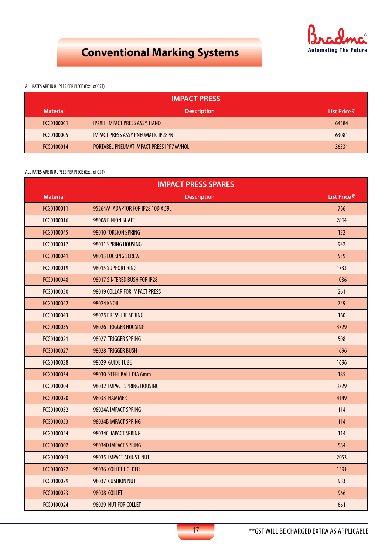

### ALL RATES ARE IN RUPEES PER PIECE (Excl. of GST)

| <b>IMPACT PRESS</b> |                                           |              |
|---------------------|-------------------------------------------|--------------|
| <b>Material</b>     | <b>Description</b>                        | List Price ₹ |
| FCG0100001          | <b>IP28H IMPACT PRESS ASSY. HAND</b>      | 64384        |
| FCG0100005          | <b>IMPACT PRESS ASSY PNEUMATIC IP28PN</b> | 63081        |
| FCG0100014          | PORTABEL PNEUMAT IMPACT PRESS IPP7 W/HOL  | 36331        |

| <b>IMPACT PRESS SPARES</b> |                                    |              |
|----------------------------|------------------------------------|--------------|
| <b>Material</b>            | <b>Description</b>                 | List Price ₹ |
| FCG0100011                 | 95264/A ADAPTOR FOR IP28 10D X 59L | 766          |
| FCG0100016                 | 98008 PINION SHAFT                 | 2864         |
| FCG0100045                 | 98010 TORSION SPRING               | 132          |
| FCG0100017                 | 98011 SPRING HOUSING               | 942          |
| FCG0100041                 | 98013 LOCKING SCREW                | 539          |
| FCG0100019                 | 98015 SUPPORT RING                 | 1733         |
| FCG0100048                 | 98017 SINTERED BUSH FOR IP28       | 1036         |
| FCG0100050                 | 98019 COLLAR FOR IMPACT PRESS      | 261          |
| FCG0100042                 | 98024 KNOB                         | 749          |
| FCG0100043                 | 98025 PRESSURE SPRING              | 160          |
| FCG0100035                 | 98026 TRIGGER HOUSING              | 3729         |
| FCG0100021                 | 98027 TRIGGER SPRING               | 508          |
| FCG0100027                 | 98028 TRIGGER BUSH                 | 1696         |
| FCG0100028                 | 98029 GUIDE TUBE                   | 1696         |
| FCG0100034                 | 98030 STEEL BALL DIA.6mm           | 185          |
| FCG0100004                 | 98032 IMPACT SPRING HOUSING        | 3729         |
| FCG0100020                 | <b>98033 HAMMER</b>                | 4149         |
| FCG0100052                 | 98034A IMPACT SPRING               | 114          |
| FCG0100053                 | 98034B IMPACT SPRING               | 114          |
| FCG0100054                 | 98034C IMPACT SPRING               | 114          |
| FCG0100002                 | 98034D IMPACT SPRING               | 584          |
| FCG0100003                 | 98035 IMPACT ADJUST. NUT           | 2053         |
| FCG0100022                 | 98036 COLLET HOLDER                | 1591         |
| FCG0100029                 | 98037 CUSHION NUT                  | 983          |
| FCG0100023                 | 98038 COLLET                       | 966          |
| FCG0100024                 | 98039 NUT FOR COLLET               | 661          |

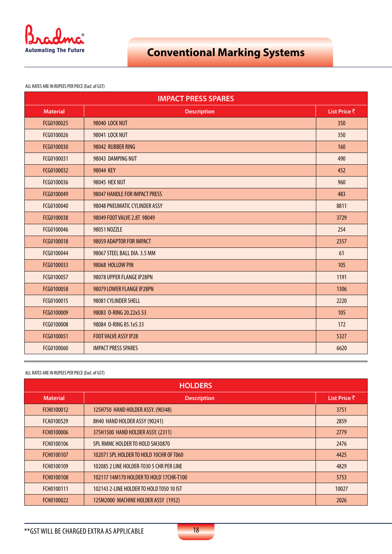

ALL RATES ARE IN RUPEES PER PIECE (Excl. of GST)

| <b>IMPACT PRESS SPARES</b> |                               |              |
|----------------------------|-------------------------------|--------------|
| <b>Material</b>            | <b>Description</b>            | List Price ₹ |
| FCG0100025                 | <b>98040 LOCK NUT</b>         | 350          |
| FCG0100026                 | 98041 LOCK NUT                | 350          |
| FCG0100030                 | 98042 RUBBER RING             | 160          |
| FCG0100031                 | 98043 DAMPING NUT             | 490          |
| FCG0100032                 | 98044 KEY                     | 452          |
| FCG0100036                 | <b>98045 HEX NUT</b>          | 960          |
| FCG0100049                 | 98047 HANDLE FOR IMPACT PRESS | 483          |
| FCG0100040                 | 98048 PNEUMATIC CYLINDER ASSY | 8811         |
| FCG0100038                 | 98049 FOOT VALVE 2.8T 98049   | 3729         |
| FCG0100046                 | 98051 NOZZLE                  | 254          |
| FCG0100018                 | 98059 ADAPTOR FOR IMPACT      | 2357         |
| FCG0100044                 | 98067 STEEL BALL DIA. 3.5 MM  | 61           |
| FCG0100033                 | 98068 HOLLOW PIN              | 105          |
| FCG0100057                 | 98078 UPPER FLANGE IP28PN     | 1191         |
| FCG0100058                 | 98079 LOWER FLANGE IP28PN     | 1306         |
| FCG0100015                 | 98081 CYLINDER SHELL          | 2220         |
| FCG0100009                 | 98083 0-RING 20.22x3.53       | 105          |
| FCG0100008                 | 98084 0-RING 85.1x5.33        | 172          |
| FCG0100051                 | <b>FOOT VALVE ASSY IP28</b>   | 5327         |
| FCG0100060                 | <b>IMPACT PRESS SPARES</b>    | 6620         |

| <b>HOLDERS</b>  |                                          |              |
|-----------------|------------------------------------------|--------------|
| <b>Material</b> | <b>Description</b>                       | List Price ₹ |
| FCH0100012      | 125H750 HAND HOLDER ASSY. (90348)        | 3751         |
| FCA0100529      | 8H40 HAND HOLDER ASSY (90241)            | 2859         |
| FCH0100006      | 375H1500 HAND HOLDER ASSY. (2311)        | 2779         |
| FCH0100106      | SPL RMMC HOLDER TO HOLD SM30870          | 2476         |
| FCH0100107      | 102071 SPL HOLDER TO HOLD 10CHR OF T060  | 4425         |
| FCH0100109      | 102085 2 LINE HOLDER-T030 5 CHR PER LINE | 4829         |
| FCH0100108      | 102117 14M170 HOLDER TO HOLD 17CHR-T100  | 5753         |
| FCH0100111      | 102143 2-LINE HOLDER TO HOLD T050 10 IST | 10027        |
| FCH0100022      | 125M2000 MACHINE HOLDER ASSY (1952)      | 2026         |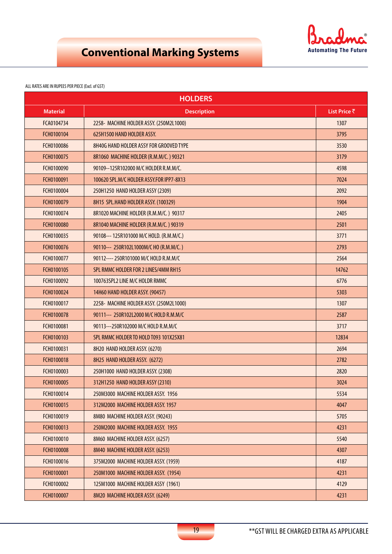

| <b>HOLDERS</b>  |                                          |              |
|-----------------|------------------------------------------|--------------|
| <b>Material</b> | <b>Description</b>                       | List Price ₹ |
| FCA0104734      | 2258- MACHINE HOLDER ASSY. (250M2L1000)  | 1307         |
| FCH0100104      | 625H1500 HAND HOLDER ASSY.               | 3795         |
| FCH0100086      | 8H40G HAND HOLDER ASSY FOR GROOVED TYPE  | 3530         |
| FCH0100075      | 8R1060 MACHINE HOLDER (R.M.M/C.) 90321   | 3179         |
| FCH0100090      | 90109--125R102000 M/C HOLDER R.M.M/C.    | 4598         |
| FCH0100091      | 100620 SPL.M/C HOLDER ASSY.FOR IPP7-8X13 | 7024         |
| FCH0100004      | 250H1250 HAND HOLDER ASSY (2309)         | 2092         |
| FCH0100079      | 8H15 SPL.HAND HOLDER ASSY. (100329)      | 1904         |
| FCH0100074      | 8R1020 MACHINE HOLDER (R.M.M/C.) 90317   | 2405         |
| FCH0100080      | 8R1040 MACHINE HOLDER (R.M.M/C.) 90319   | 2501         |
| FCH0100035      | 90108--- 125R101000 M/C HOLD. (R.M.M/C.) | 3771         |
| FCH0100076      | 90110--- 250R102L1000M/C HO (R.M.M/C.)   | 2793         |
| FCH0100077      | 90112---- 250R101000 M/C HOLD R.M.M/C    | 2564         |
| FCH0100105      | SPL RMMC HOLDER FOR 2 LINES/4MM RH15     | 14762        |
| FCH0100092      | 100763SPL2 LINE M/C HOLDR RMMC           | 6776         |
| FCH0100024      | 14H60 HAND HOLDER ASSY. (90457)          | 5303         |
| FCH0100017      | 2258- MACHINE HOLDER ASSY. (250M2L1000)  | 1307         |
| FCH0100078      | 90111--- 250R102L2000 M/C HOLD R.M.M/C   | 2587         |
| FCH0100081      | 90113---250R102000 M/C HOLD R.M.M/C      | 3717         |
| FCH0100103      | SPL RMMC HOLDER TO HOLD T093 101X25X81   | 12834        |
| FCH0100031      | 8H20 HAND HOLDER ASSY. (6270)            | 2694         |
| FCH0100018      | 8H25 HAND HOLDER ASSY. (6272)            | 2782         |
| FCH0100003      | 250H1000 HAND HOLDER ASSY. (2308)        | 2820         |
| FCH0100005      | 312H1250 HAND HOLDER ASSY (2310)         | 3024         |
| FCH0100014      | 250M3000 MACHINE HOLDER ASSY. 1956       | 5534         |
| FCH0100015      | 312M2000 MACHINE HOLDER ASSY. 1957       | 4047         |
| FCH0100019      | 8M80 MACHINE HOLDER ASSY. (90243)        | 5705         |
| FCH0100013      | 250M2000 MACHINE HOLDER ASSY. 1955       | 4231         |
| FCH0100010      | 8M60 MACHINE HOLDER ASSY. (6257)         | 5540         |
| FCH0100008      | 8M40 MACHINE HOLDER ASSY. (6253)         | 4307         |
| FCH0100016      | 375M2000 MACHINE HOLDER ASSY. (1959)     | 4187         |
| FCH0100001      | 250M1000 MACHINE HOLDER ASSY. (1954)     | 4231         |
| FCH0100002      | 125M1000 MACHINE HOLDER ASSY (1961)      | 4129         |
| FCH0100007      | 8M20 MACHINE HOLDER ASSY. (6249)         | 4231         |